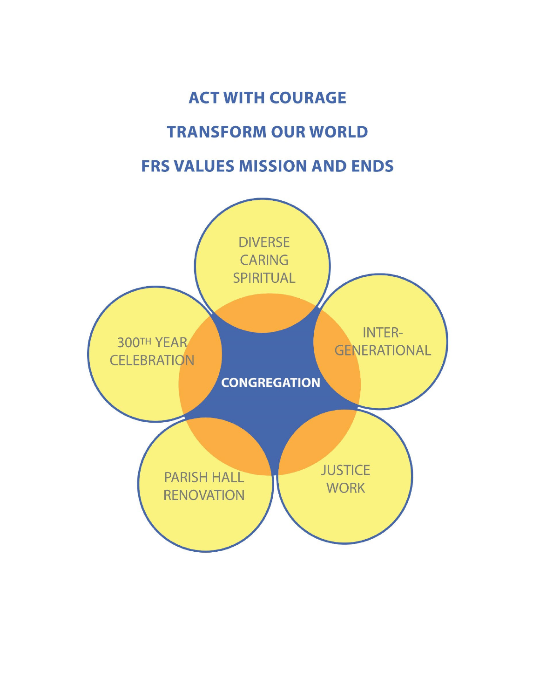# **ACT WITH COURAGE TRANSFORM OUR WORLD FRS VALUES MISSION AND ENDS**

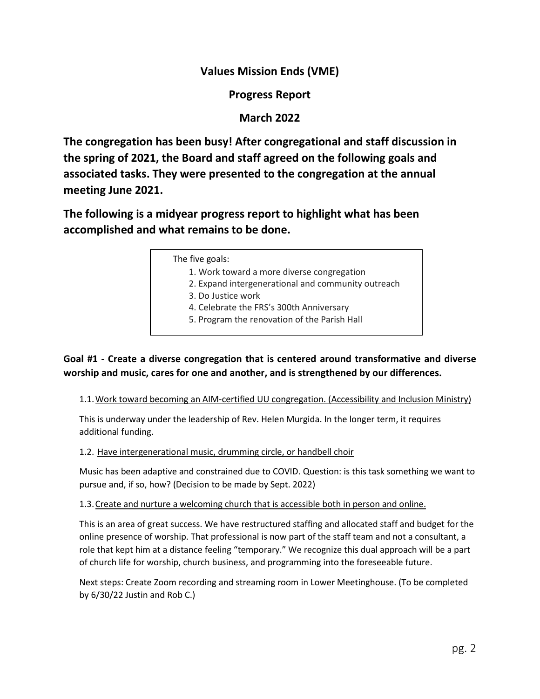# **Values Mission Ends (VME)**

**Progress Report** 

# **March 2022**

**The congregation has been busy! After congregational and staff discussion in the spring of 2021, the Board and staff agreed on the following goals and associated tasks. They were presented to the congregation at the annual meeting June 2021.** 

**The following is a midyear progress report to highlight what has been accomplished and what remains to be done.**

The five goals:

- 1. Work toward a more diverse congregation
- 2. Expand intergenerational and community outreach
- 3. Do Justice work
- 4. Celebrate the FRS's 300th Anniversary
- 5. Program the renovation of the Parish Hall

**Goal #1 - Create a diverse congregation that is centered around transformative and diverse worship and music, cares for one and another, and is strengthened by our differences.** 

1.1.Work toward becoming an AIM-certified UU congregation. (Accessibility and Inclusion Ministry)

This is underway under the leadership of Rev. Helen Murgida. In the longer term, it requires additional funding.

1.2. Have intergenerational music, drumming circle, or handbell choir

Music has been adaptive and constrained due to COVID. Question: is this task something we want to pursue and, if so, how? (Decision to be made by Sept. 2022)

1.3.Create and nurture a welcoming church that is accessible both in person and online.

This is an area of great success. We have restructured staffing and allocated staff and budget for the online presence of worship. That professional is now part of the staff team and not a consultant, a role that kept him at a distance feeling "temporary." We recognize this dual approach will be a part of church life for worship, church business, and programming into the foreseeable future.

Next steps: Create Zoom recording and streaming room in Lower Meetinghouse. (To be completed by 6/30/22 Justin and Rob C.)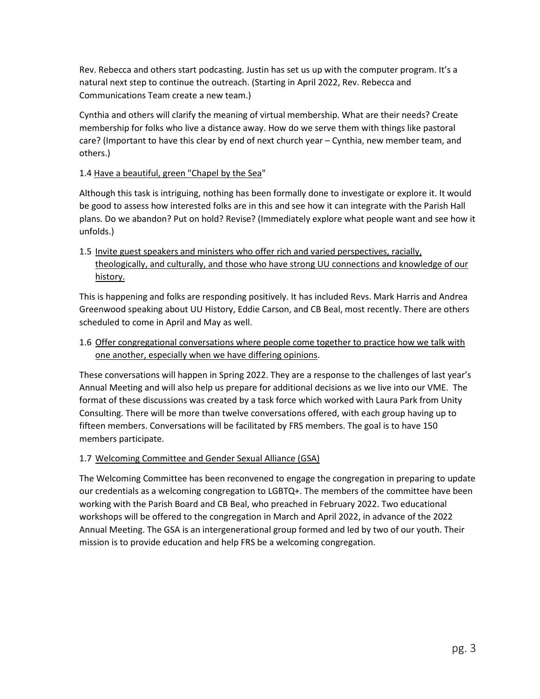Rev. Rebecca and others start podcasting. Justin has set us up with the computer program. It's a natural next step to continue the outreach. (Starting in April 2022, Rev. Rebecca and Communications Team create a new team.)

Cynthia and others will clarify the meaning of virtual membership. What are their needs? Create membership for folks who live a distance away. How do we serve them with things like pastoral care? (Important to have this clear by end of next church year – Cynthia, new member team, and others.)

# 1.4 Have a beautiful, green "Chapel by the Sea"

Although this task is intriguing, nothing has been formally done to investigate or explore it. It would be good to assess how interested folks are in this and see how it can integrate with the Parish Hall plans. Do we abandon? Put on hold? Revise? (Immediately explore what people want and see how it unfolds.)

1.5 Invite guest speakers and ministers who offer rich and varied perspectives, racially, theologically, and culturally, and those who have strong UU connections and knowledge of our history.

This is happening and folks are responding positively. It has included Revs. Mark Harris and Andrea Greenwood speaking about UU History, Eddie Carson, and CB Beal, most recently. There are others scheduled to come in April and May as well.

# 1.6 Offer congregational conversations where people come together to practice how we talk with one another, especially when we have differing opinions.

These conversations will happen in Spring 2022. They are a response to the challenges of last year's Annual Meeting and will also help us prepare for additional decisions as we live into our VME. The format of these discussions was created by a task force which worked with Laura Park from Unity Consulting. There will be more than twelve conversations offered, with each group having up to fifteen members. Conversations will be facilitated by FRS members. The goal is to have 150 members participate.

# 1.7 Welcoming Committee and Gender Sexual Alliance (GSA)

The Welcoming Committee has been reconvened to engage the congregation in preparing to update our credentials as a welcoming congregation to LGBTQ+. The members of the committee have been working with the Parish Board and CB Beal, who preached in February 2022. Two educational workshops will be offered to the congregation in March and April 2022, in advance of the 2022 Annual Meeting. The GSA is an intergenerational group formed and led by two of our youth. Their mission is to provide education and help FRS be a welcoming congregation.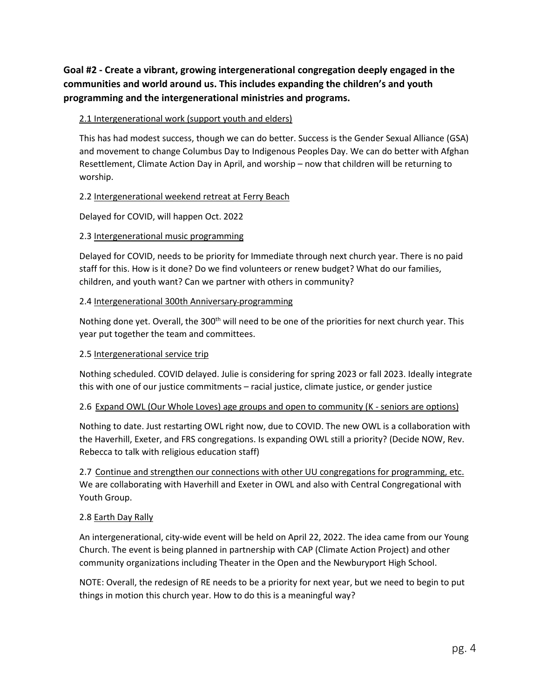**Goal #2 - Create a vibrant, growing intergenerational congregation deeply engaged in the communities and world around us. This includes expanding the children's and youth programming and the intergenerational ministries and programs.** 

# 2.1 Intergenerational work (support youth and elders)

This has had modest success, though we can do better. Success is the Gender Sexual Alliance (GSA) and movement to change Columbus Day to Indigenous Peoples Day. We can do better with Afghan Resettlement, Climate Action Day in April, and worship – now that children will be returning to worship.

## 2.2 Intergenerational weekend retreat at Ferry Beach

Delayed for COVID, will happen Oct. 2022

## 2.3 Intergenerational music programming

Delayed for COVID, needs to be priority for Immediate through next church year. There is no paid staff for this. How is it done? Do we find volunteers or renew budget? What do our families, children, and youth want? Can we partner with others in community?

#### 2.4 Intergenerational 300th Anniversary programming

Nothing done yet. Overall, the  $300<sup>th</sup>$  will need to be one of the priorities for next church year. This year put together the team and committees.

#### 2.5 Intergenerational service trip

Nothing scheduled. COVID delayed. Julie is considering for spring 2023 or fall 2023. Ideally integrate this with one of our justice commitments – racial justice, climate justice, or gender justice

#### 2.6 Expand OWL (Our Whole Loves) age groups and open to community (K - seniors are options)

Nothing to date. Just restarting OWL right now, due to COVID. The new OWL is a collaboration with the Haverhill, Exeter, and FRS congregations. Is expanding OWL still a priority? (Decide NOW, Rev. Rebecca to talk with religious education staff)

2.7 Continue and strengthen our connections with other UU congregations for programming, etc. We are collaborating with Haverhill and Exeter in OWL and also with Central Congregational with Youth Group.

#### 2.8 Earth Day Rally

An intergenerational, city-wide event will be held on April 22, 2022. The idea came from our Young Church. The event is being planned in partnership with CAP (Climate Action Project) and other community organizations including Theater in the Open and the Newburyport High School.

NOTE: Overall, the redesign of RE needs to be a priority for next year, but we need to begin to put things in motion this church year. How to do this is a meaningful way?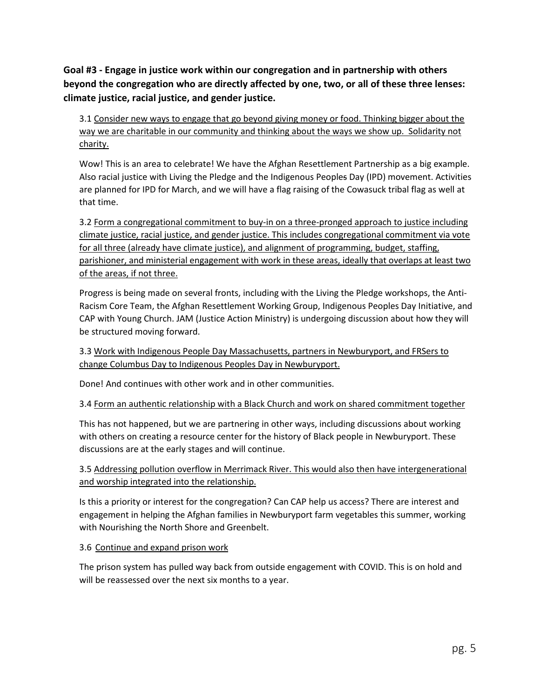**Goal #3 - Engage in justice work within our congregation and in partnership with others beyond the congregation who are directly affected by one, two, or all of these three lenses: climate justice, racial justice, and gender justice.**

3.1 Consider new ways to engage that go beyond giving money or food. Thinking bigger about the way we are charitable in our community and thinking about the ways we show up. Solidarity not charity.

Wow! This is an area to celebrate! We have the Afghan Resettlement Partnership as a big example. Also racial justice with Living the Pledge and the Indigenous Peoples Day (IPD) movement. Activities are planned for IPD for March, and we will have a flag raising of the Cowasuck tribal flag as well at that time.

3.2 Form a congregational commitment to buy-in on a three-pronged approach to justice including climate justice, racial justice, and gender justice. This includes congregational commitment via vote for all three (already have climate justice), and alignment of programming, budget, staffing, parishioner, and ministerial engagement with work in these areas, ideally that overlaps at least two of the areas, if not three.

Progress is being made on several fronts, including with the Living the Pledge workshops, the Anti-Racism Core Team, the Afghan Resettlement Working Group, Indigenous Peoples Day Initiative, and CAP with Young Church. JAM (Justice Action Ministry) is undergoing discussion about how they will be structured moving forward.

3.3 Work with Indigenous People Day Massachusetts, partners in Newburyport, and FRSers to change Columbus Day to Indigenous Peoples Day in Newburyport.

Done! And continues with other work and in other communities.

3.4 Form an authentic relationship with a Black Church and work on shared commitment together

This has not happened, but we are partnering in other ways, including discussions about working with others on creating a resource center for the history of Black people in Newburyport. These discussions are at the early stages and will continue.

3.5 Addressing pollution overflow in Merrimack River. This would also then have intergenerational and worship integrated into the relationship.

Is this a priority or interest for the congregation? Can CAP help us access? There are interest and engagement in helping the Afghan families in Newburyport farm vegetables this summer, working with Nourishing the North Shore and Greenbelt.

# 3.6 Continue and expand prison work

The prison system has pulled way back from outside engagement with COVID. This is on hold and will be reassessed over the next six months to a year.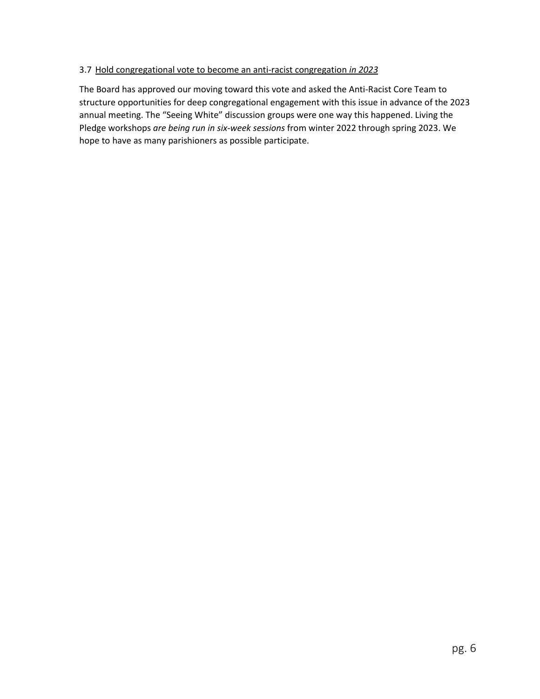## 3.7 Hold congregational vote to become an anti-racist congregation *in 2023*

The Board has approved our moving toward this vote and asked the Anti-Racist Core Team to structure opportunities for deep congregational engagement with this issue in advance of the 2023 annual meeting. The "Seeing White" discussion groups were one way this happened. Living the Pledge workshops *are being run in six-week sessions* from winter 2022 through spring 2023. We hope to have as many parishioners as possible participate.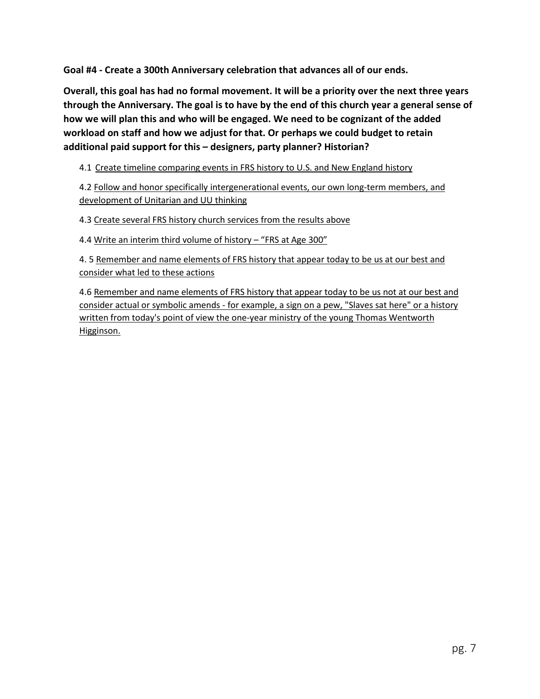**Goal #4 - Create a 300th Anniversary celebration that advances all of our ends.**

**Overall, this goal has had no formal movement. It will be a priority over the next three years through the Anniversary. The goal is to have by the end of this church year a general sense of how we will plan this and who will be engaged. We need to be cognizant of the added workload on staff and how we adjust for that. Or perhaps we could budget to retain additional paid support for this – designers, party planner? Historian?** 

4.1 Create timeline comparing events in FRS history to U.S. and New England history

4.2 Follow and honor specifically intergenerational events, our own long-term members, and development of Unitarian and UU thinking

4.3 Create several FRS history church services from the results above

4.4 Write an interim third volume of history - "FRS at Age 300"

4. 5 Remember and name elements of FRS history that appear today to be us at our best and consider what led to these actions

4.6 Remember and name elements of FRS history that appear today to be us not at our best and consider actual or symbolic amends - for example, a sign on a pew, "Slaves sat here" or a history written from today's point of view the one-year ministry of the young Thomas Wentworth Higginson.